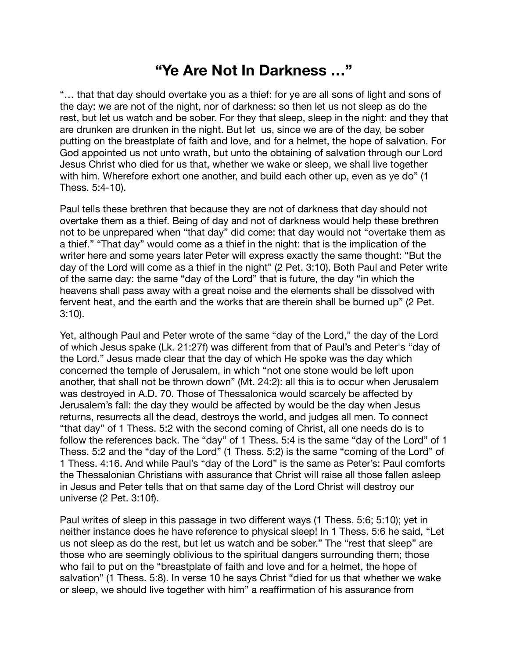## **"Ye Are Not In Darkness …"**

"… that that day should overtake you as a thief: for ye are all sons of light and sons of the day: we are not of the night, nor of darkness: so then let us not sleep as do the rest, but let us watch and be sober. For they that sleep, sleep in the night: and they that are drunken are drunken in the night. But let us, since we are of the day, be sober putting on the breastplate of faith and love, and for a helmet, the hope of salvation. For God appointed us not unto wrath, but unto the obtaining of salvation through our Lord Jesus Christ who died for us that, whether we wake or sleep, we shall live together with him. Wherefore exhort one another, and build each other up, even as ye do" (1 Thess. 5:4-10).

Paul tells these brethren that because they are not of darkness that day should not overtake them as a thief. Being of day and not of darkness would help these brethren not to be unprepared when "that day" did come: that day would not "overtake them as a thief." "That day" would come as a thief in the night: that is the implication of the writer here and some years later Peter will express exactly the same thought: "But the day of the Lord will come as a thief in the night" (2 Pet. 3:10). Both Paul and Peter write of the same day: the same "day of the Lord" that is future, the day "in which the heavens shall pass away with a great noise and the elements shall be dissolved with fervent heat, and the earth and the works that are therein shall be burned up" (2 Pet. 3:10).

Yet, although Paul and Peter wrote of the same "day of the Lord," the day of the Lord of which Jesus spake (Lk. 21:27f) was different from that of Paul's and Peter's "day of the Lord." Jesus made clear that the day of which He spoke was the day which concerned the temple of Jerusalem, in which "not one stone would be left upon another, that shall not be thrown down" (Mt. 24:2): all this is to occur when Jerusalem was destroyed in A.D. 70. Those of Thessalonica would scarcely be affected by Jerusalem's fall: the day they would be affected by would be the day when Jesus returns, resurrects all the dead, destroys the world, and judges all men. To connect "that day" of 1 Thess. 5:2 with the second coming of Christ, all one needs do is to follow the references back. The "day" of 1 Thess. 5:4 is the same "day of the Lord" of 1 Thess. 5:2 and the "day of the Lord" (1 Thess. 5:2) is the same "coming of the Lord" of 1 Thess. 4:16. And while Paul's "day of the Lord" is the same as Peter's: Paul comforts the Thessalonian Christians with assurance that Christ will raise all those fallen asleep in Jesus and Peter tells that on that same day of the Lord Christ will destroy our universe (2 Pet. 3:10f).

Paul writes of sleep in this passage in two different ways (1 Thess. 5:6; 5:10); yet in neither instance does he have reference to physical sleep! In 1 Thess. 5:6 he said, "Let us not sleep as do the rest, but let us watch and be sober." The "rest that sleep" are those who are seemingly oblivious to the spiritual dangers surrounding them; those who fail to put on the "breastplate of faith and love and for a helmet, the hope of salvation" (1 Thess. 5:8). In verse 10 he says Christ "died for us that whether we wake or sleep, we should live together with him" a reaffirmation of his assurance from